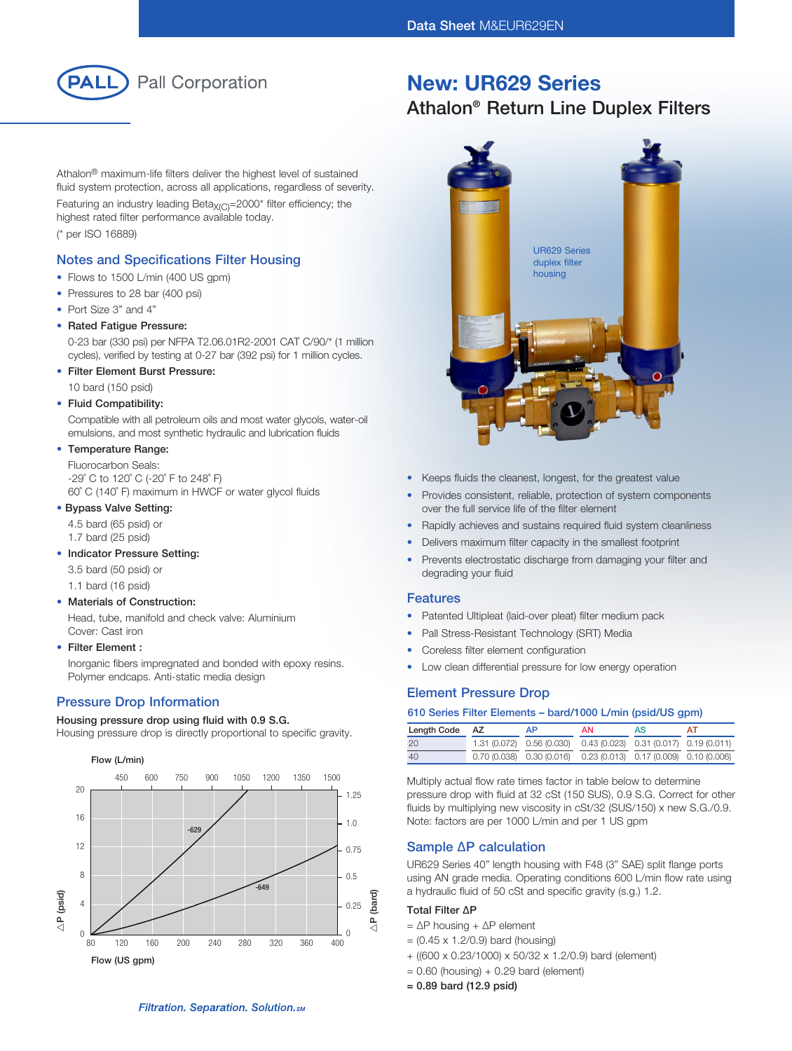

Athalon® maximum-life filters deliver the highest level of sustained fluid system protection, across all applications, regardless of severity.

Featuring an industry leading Beta $X_{(C)}$ =2000\* filter efficiency; the highest rated filter performance available today. (\* per ISO 16889)

### Notes and Specifications Filter Housing

- Flows to 1500 L/min (400 US gpm)
- Pressures to 28 bar (400 psi)
- Port Size 3" and 4"
- Rated Fatigue Pressure:
- 0-23 bar (330 psi) per NFPA T2.06.01R2-2001 CAT C/90/\* (1 million cycles), verified by testing at 0-27 bar (392 psi) for 1 million cycles.
- Filter Element Burst Pressure:

10 bard (150 psid)

#### • Fluid Compatibility:

Compatible with all petroleum oils and most water glycols, water-oil emulsions, and most synthetic hydraulic and lubrication fluids

#### • Temperature Range:

Fluorocarbon Seals: -29˚ C to 120˚ C (-20˚ F to 248˚ F) 60˚ C (140˚ F) maximum in HWCF or water glycol fluids

#### • Bypass Valve Setting:

4.5 bard (65 psid) or

1.7 bard (25 psid)

### • Indicator Pressure Setting:

3.5 bard (50 psid) or

1.1 bard (16 psid)

#### • Materials of Construction:

Head, tube, manifold and check valve: Aluminium Cover: Cast iron

#### • Filter Element :

Inorganic fibers impregnated and bonded with epoxy resins. Polymer endcaps. Anti-static media design

# **Pressure Drop Information Element Pressure Drop Pressure Drop**

#### Housing pressure drop using fluid with 0.9 S.G.

Housing pressure drop is directly proportional to specific gravity.



# New: UR629 Series

# Athalon® Return Line Duplex Filters



- • Keeps fluids the cleanest, longest, for the greatest value
- Provides consistent, reliable, protection of system components over the full service life of the filter element
- Rapidly achieves and sustains required fluid system cleanliness
- Delivers maximum filter capacity in the smallest footprint
- Prevents electrostatic discharge from damaging your filter and degrading your fluid

#### Features

- Patented Ultipleat (laid-over pleat) filter medium pack
- Pall Stress-Resistant Technology (SRT) Media
- Coreless filter element configuration
- Low clean differential pressure for low energy operation

#### 610 Series Filter Elements – bard/1000 L/min (psid/US gpm)

| Length Code AZ | ΔP.                                                                   | AN. | AS |  |
|----------------|-----------------------------------------------------------------------|-----|----|--|
| 20             | 1.31 (0.072) 0.56 (0.030) 0.43 (0.023) 0.31 (0.017) 0.19 (0.011)      |     |    |  |
| 40             | $0.70(0.038)$ $0.30(0.016)$ $0.23(0.013)$ $0.17(0.009)$ $0.10(0.006)$ |     |    |  |

Multiply actual flow rate times factor in table below to determine pressure drop with fluid at 32 cSt (150 SUS), 0.9 S.G. Correct for other fluids by multiplying new viscosity in cSt/32 (SUS/150) x new S.G./0.9. Note: factors are per 1000 L/min and per 1 US gpm

### Sample ∆P calculation

UR629 Series 40" length housing with F48 (3" SAE) split flange ports using AN grade media. Operating conditions 600 L/min flow rate using a hydraulic fluid of 50 cSt and specific gravity (s.g.) 1.2.

#### Total Filter ∆P

- = ∆P housing + ∆P element
- $= (0.45 \times 1.2/0.9)$  bard (housing)
- + ((600 x 0.23/1000) x 50/32 x 1.2/0.9) bard (element)
- $= 0.60$  (housing) + 0.29 bard (element)
- = 0.89 bard (12.9 psid)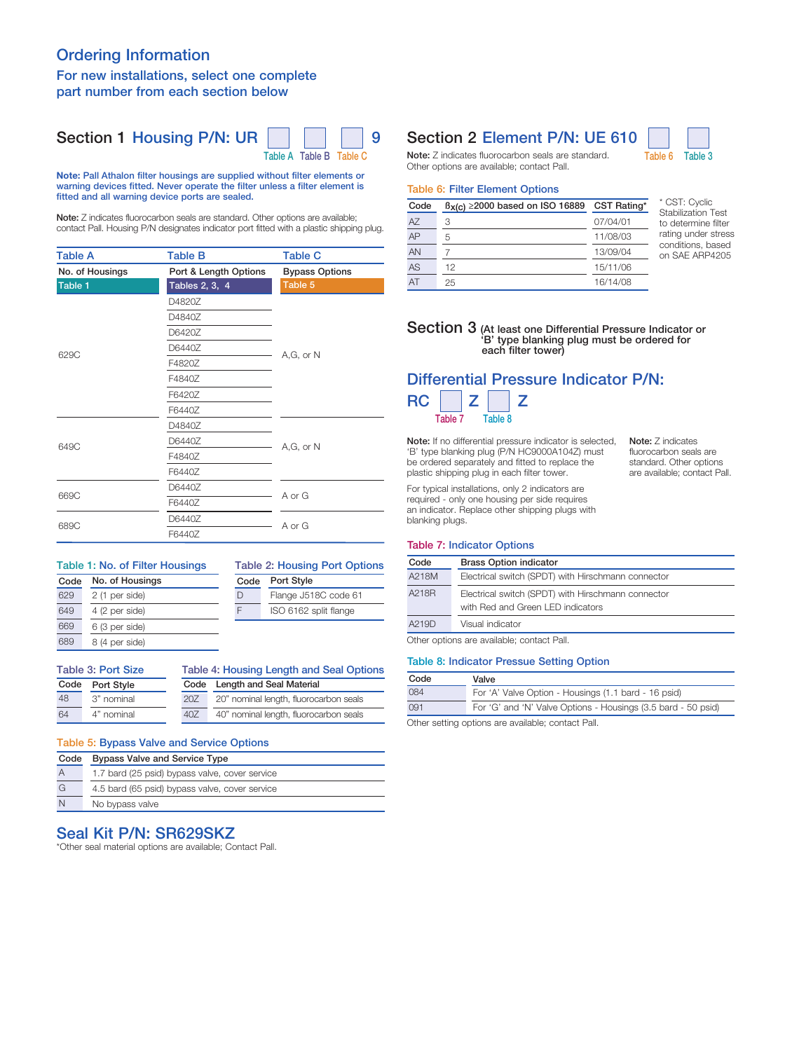## Ordering Information For new installations, select one complete part number from each section below



Note: Pall Athalon filter housings are supplied without filter elements or warning devices fitted. Never operate the filter unless a filter element is fitted and all warning device ports are sealed.

Note: Z indicates fluorocarbon seals are standard. Other options are available; contact Pall. Housing P/N designates indicator port fitted with a plastic shipping plug.

| <b>Table A</b>  | <b>Table B</b>        | <b>Table C</b>        |  |
|-----------------|-----------------------|-----------------------|--|
| No. of Housings | Port & Length Options | <b>Bypass Options</b> |  |
| Table 1         | Tables 2, 3, 4        | Table 5               |  |
|                 | D4820Z                |                       |  |
|                 | D4840Z                |                       |  |
|                 | D6420Z                |                       |  |
| 629C            | D6440Z                |                       |  |
|                 | F4820Z                | $A,G$ , or $N$        |  |
|                 | F4840Z                |                       |  |
|                 | F6420Z                |                       |  |
|                 | F6440Z                |                       |  |
|                 | D4840Z                |                       |  |
| 649C            | D6440Z                | A,G, or N             |  |
|                 | F4840Z                |                       |  |
|                 | F6440Z                |                       |  |
|                 | D6440Z                |                       |  |
| 669C            | F6440Z                | A or G                |  |
|                 | D6440Z                |                       |  |
| 689C            | F6440Z                | A or G                |  |

#### No. of Housings Table 1: No. of Filter Housings

2 (1 per side)

Code 629 649

 $\overline{C}$ 48 64

#### Code D F Port Style Flange J518C code 61 ISO 6162 split flange Table 2: Housing Port Options

|     | Table 3: Port Size | Table 4: Housing Le |  |
|-----|--------------------|---------------------|--|
| 689 | 8 (4 per side)     |                     |  |
| 669 | 6 (3 per side)     |                     |  |
| 649 | 4 (2 per side)     |                     |  |

| ble 3: Port Size |            | Table 4: Housing Length and Seal Options |                                        |  |
|------------------|------------|------------------------------------------|----------------------------------------|--|
| de<br>Port Style |            |                                          | Code Length and Seal Material          |  |
|                  | 3" nominal | 20Z                                      | 20" nominal length, fluorocarbon seals |  |
|                  | 4" nominal | 40Z                                      | 40" nominal length, fluorocarbon seals |  |

# Table 5: Bypass Valve and Service Options

| Code           | <b>Bypass Valve and Service Type</b>           |
|----------------|------------------------------------------------|
| $\overline{A}$ | 1.7 bard (25 psid) bypass valve, cover service |
| G              | 4.5 bard (65 psid) bypass valve, cover service |
| N              | No bypass valve                                |

## Seal Kit P/N: SR629SKZ

\*Other seal material options are available; Contact Pall.

# Section 1 Housing P/N: UR | | | | | 9 Section 2 Element P/N: UE 610



Note: Z indicates fluorocarbon seals are standard. Table 6 Table 3 Other options are available; contact Pall.

#### Table 6: Filter Element Options

| Code | $B_X(c) \ge 2000$ based on ISO 16889 | CST Rating* |
|------|--------------------------------------|-------------|
| AZ   | 3                                    | 07/04/01    |
| AP   | 5                                    | 11/08/03    |
| AN   |                                      | 13/09/04    |
| AS   | 12                                   | 15/11/06    |
| AT   | 25                                   | 16/14/08    |

\* CST: Cyclic Stabilization Test to determine filter rating under stress conditions, based on SAE ARP4205

#### Section 3 (At least one Differential Pressure Indicator or 'B' type blanking plug must be ordered for each filter tower)

## Differential Pressure Indicator P/N:  $RC$   $Z$   $Z$ Table 7 Table 8

Note: If no differential pressure indicator is selected, 'B' type blanking plug (P/N HC9000A104Z) must be ordered separately and fitted to replace the plastic shipping plug in each filter tower.

Note: Z indicates fluorocarbon seals are standard. Other options are available; contact Pall.

For typical installations, only 2 indicators are required - only one housing per side requires an indicator. Replace other shipping plugs with blanking plugs.

#### Table 7: Indicator Options

| Code  | <b>Brass Option indicator</b>                                                           |
|-------|-----------------------------------------------------------------------------------------|
| A218M | Electrical switch (SPDT) with Hirschmann connector                                      |
| A218R | Electrical switch (SPDT) with Hirschmann connector<br>with Red and Green LED indicators |
| A219D | Visual indicator                                                                        |

Other options are available; contact Pall.

#### Table 8: Indicator Pressue Setting Option

| Code                                              | Valve                                                         |  |
|---------------------------------------------------|---------------------------------------------------------------|--|
| 084                                               | For 'A' Valve Option - Housings (1.1 bard - 16 psid)          |  |
| 091                                               | For 'G' and 'N' Valve Options - Housings (3.5 bard - 50 psid) |  |
| Other setting entians are available: contact Dell |                                                               |  |

Other setting options are available; contact Pall.